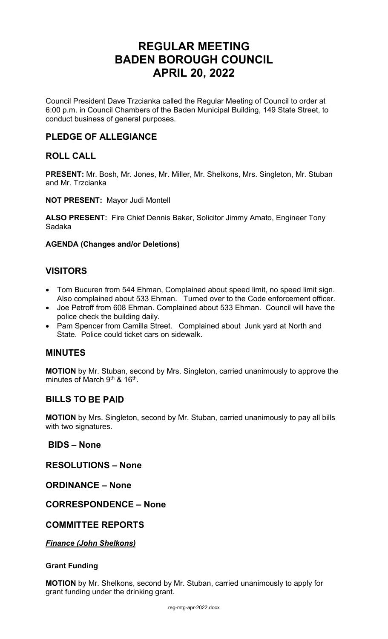# **REGULAR MEETING BADEN BOROUGH COUNCIL APRIL 20, 2022**

Council President Dave Trzcianka called the Regular Meeting of Council to order at 6:00 p.m. in Council Chambers of the Baden Municipal Building, 149 State Street, to conduct business of general purposes.

# **PLEDGE OF ALLEGIANCE**

# **ROLL CALL**

**PRESENT:** Mr. Bosh, Mr. Jones, Mr. Miller, Mr. Shelkons, Mrs. Singleton, Mr. Stuban and Mr. Trzcianka

**NOT PRESENT:** Mayor Judi Montell

**ALSO PRESENT:** Fire Chief Dennis Baker, Solicitor Jimmy Amato, Engineer Tony Sadaka

# **AGENDA (Changes and/or Deletions)**

# **VISITORS**

- Tom Bucuren from 544 Ehman, Complained about speed limit, no speed limit sign. Also complained about 533 Ehman. Turned over to the Code enforcement officer.
- Joe Petroff from 608 Ehman. Complained about 533 Ehman. Council will have the police check the building daily.
- Pam Spencer from Camilla Street. Complained about Junk yard at North and State. Police could ticket cars on sidewalk.

# **MINUTES**

**MOTION** by Mr. Stuban, second by Mrs. Singleton, carried unanimously to approve the minutes of March 9<sup>th</sup> & 16<sup>th</sup>.

# **BILLS TO BE PAID**

**MOTION** by Mrs. Singleton, second by Mr. Stuban, carried unanimously to pay all bills with two signatures.

# **BIDS – None**

**RESOLUTIONS – None**

**ORDINANCE – None**

# **CORRESPONDENCE – None**

# **COMMITTEE REPORTS**

*Finance (John Shelkons)*

# **Grant Funding**

**MOTION** by Mr. Shelkons, second by Mr. Stuban, carried unanimously to apply for grant funding under the drinking grant.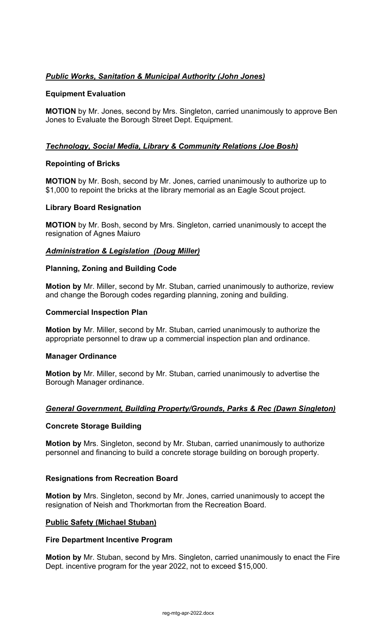# *Public Works, Sanitation & Municipal Authority (John Jones)*

# **Equipment Evaluation**

**MOTION** by Mr. Jones, second by Mrs. Singleton, carried unanimously to approve Ben Jones to Evaluate the Borough Street Dept. Equipment.

# *Technology, Social Media, Library & Community Relations (Joe Bosh)*

# **Repointing of Bricks**

**MOTION** by Mr. Bosh, second by Mr. Jones, carried unanimously to authorize up to \$1,000 to repoint the bricks at the library memorial as an Eagle Scout project.

# **Library Board Resignation**

**MOTION** by Mr. Bosh, second by Mrs. Singleton, carried unanimously to accept the resignation of Agnes Maiuro

### *Administration & Legislation (Doug Miller)*

# **Planning, Zoning and Building Code**

**Motion by** Mr. Miller, second by Mr. Stuban, carried unanimously to authorize, review and change the Borough codes regarding planning, zoning and building.

### **Commercial Inspection Plan**

**Motion by** Mr. Miller, second by Mr. Stuban, carried unanimously to authorize the appropriate personnel to draw up a commercial inspection plan and ordinance.

#### **Manager Ordinance**

**Motion by** Mr. Miller, second by Mr. Stuban, carried unanimously to advertise the Borough Manager ordinance.

# *General Government, Building Property/Grounds, Parks & Rec (Dawn Singleton)*

#### **Concrete Storage Building**

**Motion by** Mrs. Singleton, second by Mr. Stuban, carried unanimously to authorize personnel and financing to build a concrete storage building on borough property.

#### **Resignations from Recreation Board**

**Motion by** Mrs. Singleton, second by Mr. Jones, carried unanimously to accept the resignation of Neish and Thorkmortan from the Recreation Board.

# **Public Safety (Michael Stuban)**

#### **Fire Department Incentive Program**

**Motion by** Mr. Stuban, second by Mrs. Singleton, carried unanimously to enact the Fire Dept. incentive program for the year 2022, not to exceed \$15,000.